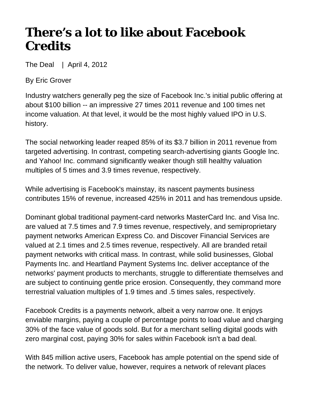## **There's a lot to like about Facebook Credits**

The Deal | April 4, 2012

By Eric Grover

Industry watchers generally peg the size of Facebook Inc.'s initial public offering at about \$100 billion -- an impressive 27 times 2011 revenue and 100 times net income valuation. At that level, it would be the most highly valued IPO in U.S. history.

The social networking leader reaped 85% of its \$3.7 billion in 2011 revenue from targeted advertising. In contrast, competing search-advertising giants Google Inc. and Yahoo! Inc. command significantly weaker though still healthy valuation multiples of 5 times and 3.9 times revenue, respectively.

While advertising is Facebook's mainstay, its nascent payments business contributes 15% of revenue, increased 425% in 2011 and has tremendous upside.

Dominant global traditional payment-card networks MasterCard Inc. and Visa Inc. are valued at 7.5 times and 7.9 times revenue, respectively, and semiproprietary payment networks American Express Co. and Discover Financial Services are valued at 2.1 times and 2.5 times revenue, respectively. All are branded retail payment networks with critical mass. In contrast, while solid businesses, Global Payments Inc. and Heartland Payment Systems Inc. deliver acceptance of the networks' payment products to merchants, struggle to differentiate themselves and are subject to continuing gentle price erosion. Consequently, they command more terrestrial valuation multiples of 1.9 times and .5 times sales, respectively.

Facebook Credits is a payments network, albeit a very narrow one. It enjoys enviable margins, paying a couple of percentage points to load value and charging 30% of the face value of goods sold. But for a merchant selling digital goods with zero marginal cost, paying 30% for sales within Facebook isn't a bad deal.

With 845 million active users, Facebook has ample potential on the spend side of the network. To deliver value, however, requires a network of relevant places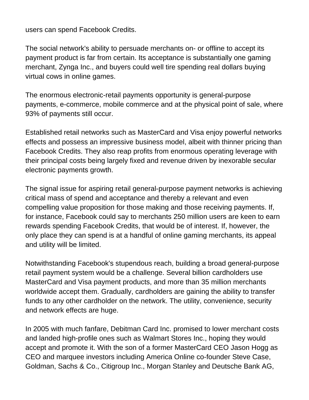users can spend Facebook Credits.

The social network's ability to persuade merchants on- or offline to accept its payment product is far from certain. Its acceptance is substantially one gaming merchant, Zynga Inc., and buyers could well tire spending real dollars buying virtual cows in online games.

The enormous electronic-retail payments opportunity is general-purpose payments, e-commerce, mobile commerce and at the physical point of sale, where 93% of payments still occur.

Established retail networks such as MasterCard and Visa enjoy powerful networks effects and possess an impressive business model, albeit with thinner pricing than Facebook Credits. They also reap profits from enormous operating leverage with their principal costs being largely fixed and revenue driven by inexorable secular electronic payments growth.

The signal issue for aspiring retail general-purpose payment networks is achieving critical mass of spend and acceptance and thereby a relevant and even compelling value proposition for those making and those receiving payments. If, for instance, Facebook could say to merchants 250 million users are keen to earn rewards spending Facebook Credits, that would be of interest. If, however, the only place they can spend is at a handful of online gaming merchants, its appeal and utility will be limited.

Notwithstanding Facebook's stupendous reach, building a broad general-purpose retail payment system would be a challenge. Several billion cardholders use MasterCard and Visa payment products, and more than 35 million merchants worldwide accept them. Gradually, cardholders are gaining the ability to transfer funds to any other cardholder on the network. The utility, convenience, security and network effects are huge.

In 2005 with much fanfare, Debitman Card Inc. promised to lower merchant costs and landed high-profile ones such as Walmart Stores Inc., hoping they would accept and promote it. With the son of a former MasterCard CEO Jason Hogg as CEO and marquee investors including America Online co-founder Steve Case, Goldman, Sachs & Co., Citigroup Inc., Morgan Stanley and Deutsche Bank AG,